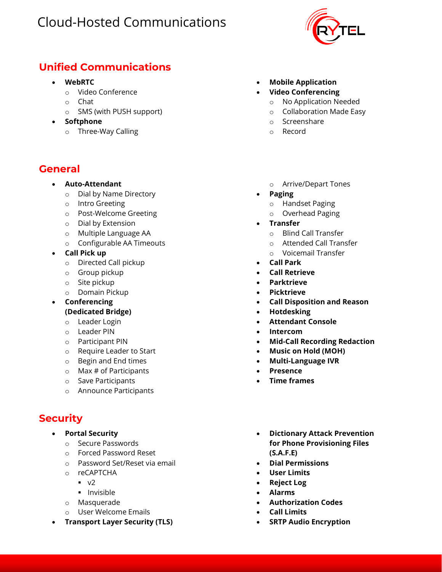

#### **Unified Communications**

- **WebRTC**
	- o Video Conference
	- o Chat
	- o SMS (with PUSH support)
- **Softphone**
	- o Three-Way Calling

#### **General**

#### • **Auto-Attendant**

- o Dial by Name Directory
- o Intro Greeting
- o Post-Welcome Greeting
- o Dial by Extension
- o Multiple Language AA
- o Configurable AA Timeouts
- **Call Pick up** 
	- o Directed Call pickup
	- o Group pickup
	- o Site pickup
	- o Domain Pickup
- **Conferencing (Dedicated Bridge)** 
	- o Leader Login
	- o Leader PIN
	- o Participant PIN
	- o Require Leader to Start
	- o Begin and End times
	- $\circ$  Max # of Participants
	- o Save Participants
	- o Announce Participants

### **Security**

- **Portal Security**
	- o Secure Passwords
	- o Forced Password Reset
	- o Password Set/Reset via email
	- o reCAPTCHA
		- $\blacksquare$  v<sub>2</sub>
		- **·** Invisible
	- o Masquerade
	- o User Welcome Emails
- **Transport Layer Security (TLS)**
- **Mobile Application**
- **Video Conferencing**
	- o No Application Needed
	- o Collaboration Made Easy
	- o Screenshare
	- o Record
	- o Arrive/Depart Tones
- **Paging**
	- o Handset Paging
	- o Overhead Paging
- **Transfer** 
	- o Blind Call Transfer
	- o Attended Call Transfer
	- o Voicemail Transfer
- **Call Park**
- **Call Retrieve**
- **Parktrieve**
- **Picktrieve**
- **Call Disposition and Reason**
- **Hotdesking**
- **Attendant Console**
- **Intercom**
- **Mid-Call Recording Redaction**
- **Music on Hold (MOH)**
- **Multi-Language IVR**
- **Presence**
- **Time frames**
- **Dictionary Attack Prevention for Phone Provisioning Files (S.A.F.E)**
- **Dial Permissions**
- **User Limits**
- **Reject Log**
- **Alarms**
- **Authorization Codes**
- **Call Limits**
- **SRTP Audio Encryption**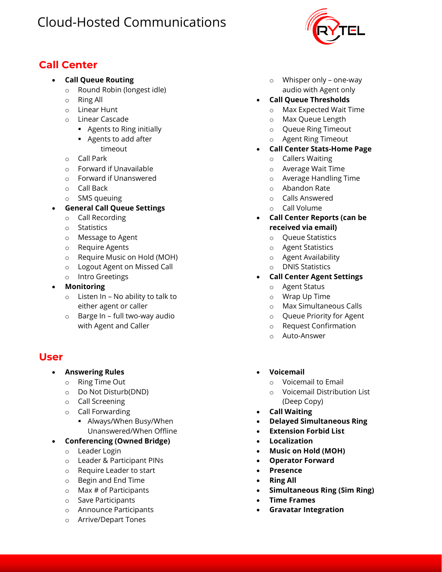## **Call Center**

- **Call Queue Routing**
	- o Round Robin (longest idle)
	- o Ring All
	- o Linear Hunt
	- o Linear Cascade
		- Agents to Ring initially
		- Agents to add after
		- timeout
	- o Call Park
	- o Forward if Unavailable
	- o Forward if Unanswered
	- o Call Back
	- o SMS queuing
- **General Call Queue Settings**
	- o Call Recording
	- o Statistics
	- o Message to Agent
	- o Require Agents
	- o Require Music on Hold (MOH)
	- o Logout Agent on Missed Call
	- o Intro Greetings
- **Monitoring**
	- $\circ$  Listen In No ability to talk to either agent or caller
	- o Barge In full two-way audio with Agent and Caller

#### **User**

- **Answering Rules**
	- o Ring Time Out
	- o Do Not Disturb(DND)
	- o Call Screening
	- o Call Forwarding
		- Always/When Busy/When Unanswered/When Offline
- **Conferencing (Owned Bridge)** 
	- o Leader Login
	- o Leader & Participant PINs
	- o Require Leader to start
	- o Begin and End Time
	- $\circ$  Max # of Participants
	- o Save Participants
	- o Announce Participants
	- o Arrive/Depart Tones
- o Whisper only one-way audio with Agent only
- **Call Queue Thresholds**
	- o Max Expected Wait Time
	- o Max Queue Length
	- o Queue Ring Timeout
	- o Agent Ring Timeout
- **Call Center Stats-Home Page**
	- o Callers Waiting
	- o Average Wait Time
	- o Average Handling Time
	- o Abandon Rate
	- o Calls Answered
	- o Call Volume
- **Call Center Reports (can be received via email)**
	- o Queue Statistics
	- o Agent Statistics
	- o Agent Availability
	- o DNIS Statistics
- **Call Center Agent Settings** 
	- o Agent Status
	- o Wrap Up Time
	- o Max Simultaneous Calls
	- o Queue Priority for Agent
	- o Request Confirmation
	- o Auto-Answer
- **Voicemail**
	- o Voicemail to Email
	- o Voicemail Distribution List (Deep Copy)
- **Call Waiting**
- **Delayed Simultaneous Ring**
- **Extension Forbid List**
- **Localization**
- **Music on Hold (MOH)**
- **Operator Forward**
- **Presence**
- **Ring All**
- **Simultaneous Ring (Sim Ring)**
- **Time Frames**
- **Gravatar Integration**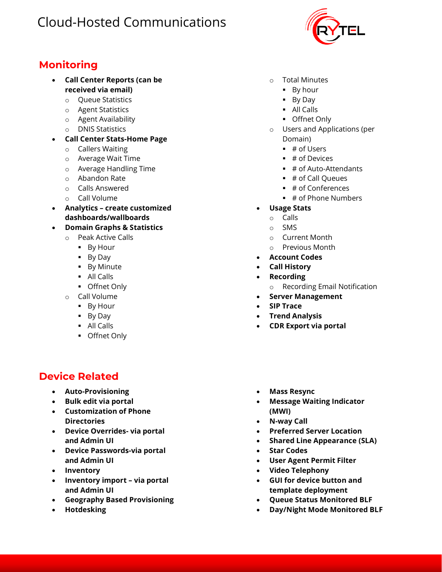### **Monitoring**

- **Call Center Reports (can be received via email)**
	- o Queue Statistics
	- o Agent Statistics
	- o Agent Availability
	- o DNIS Statistics
- **Call Center Stats-Home Page**
	- o Callers Waiting
	- o Average Wait Time
	- o Average Handling Time
	- o Abandon Rate
	- o Calls Answered
	- o Call Volume
- **Analytics – create customized dashboards/wallboards**
- **Domain Graphs & Statistics**
	- o Peak Active Calls
		- By Hour
		- By Day
		- **•** By Minute
		- All Calls
		- Offnet Only
	- o Call Volume
		- By Hour
		- By Day
		- All Calls
		- Offnet Only

#### **Device Related**

- **Auto-Provisioning**
- **Bulk edit via portal**
- **Customization of Phone Directories**
- **Device Overrides- via portal and Admin UI**
- **Device Passwords-via portal and Admin UI**
- **Inventory**
- **Inventory import – via portal and Admin UI**
- **Geography Based Provisioning**
- **Hotdesking**
- o Total Minutes
	- By hour
	- By Day
	- All Calls
	- Offnet Only
- o Users and Applications (per Domain)
	- $\blacksquare$  # of Users
	- $\bullet$  # of Devices
	- $\blacksquare$  # of Auto-Attendants
	- # of Call Queues
	- # of Conferences
	- # of Phone Numbers
- **Usage Stats** 
	- o Calls
	- o SMS
	- o Current Month
	- o Previous Month
- **Account Codes**
- **Call History**
- **Recording**
	- o Recording Email Notification
- **Server Management**
- **SIP Trace**
- **Trend Analysis**
- **CDR Export via portal**
- **Mass Resync**
- **Message Waiting Indicator (MWI)**
- **N-way Call**
- **Preferred Server Location**
- **Shared Line Appearance (SLA)**
- **Star Codes**
- **User Agent Permit Filter**
- **Video Telephony**
- **GUI for device button and template deployment**
- **Queue Status Monitored BLF**
- **Day/Night Mode Monitored BLF**